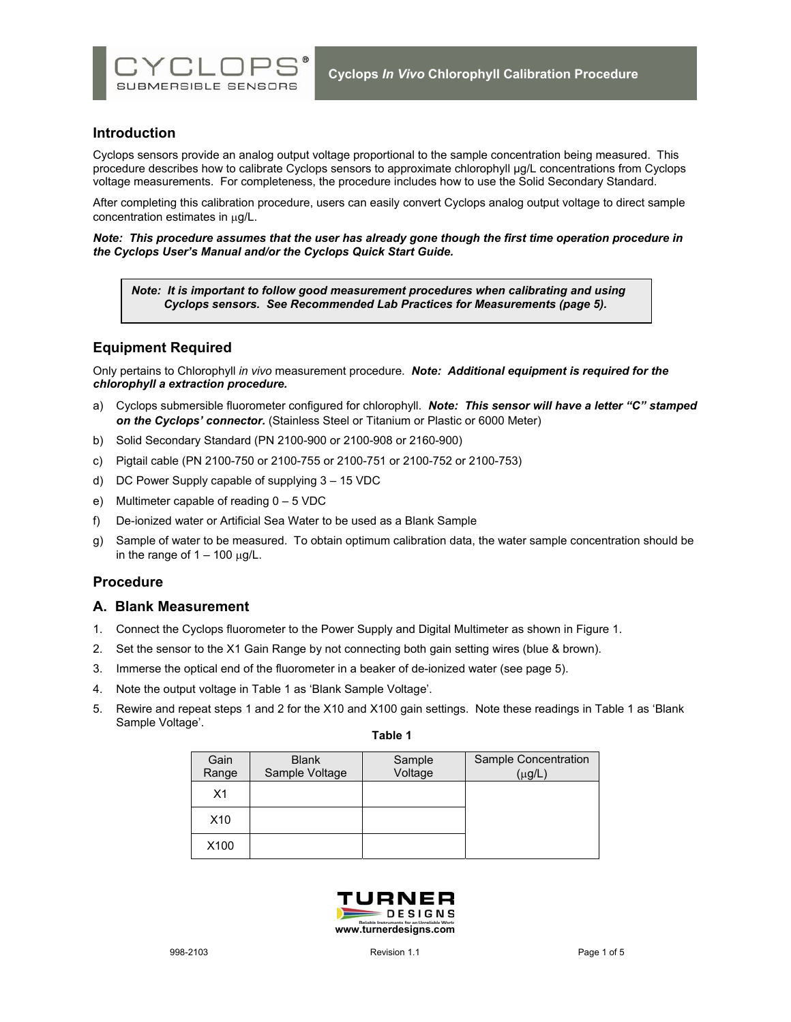

## **Introduction**

Cyclops sensors provide an analog output voltage proportional to the sample concentration being measured. This procedure describes how to calibrate Cyclops sensors to approximate chlorophyll µg/L concentrations from Cyclops voltage measurements. For completeness, the procedure includes how to use the Solid Secondary Standard.

After completing this calibration procedure, users can easily convert Cyclops analog output voltage to direct sample concentration estimates in µg/L.

*Note: This procedure assumes that the user has already gone though the first time operation procedure in the Cyclops User's Manual and/or the Cyclops Quick Start Guide.* 

*Note: It is important to follow good measurement procedures when calibrating and using Cyclops sensors. See Recommended Lab Practices for Measurements (page 5).* 

# **Equipment Required**

Only pertains to Chlorophyll *in vivo* measurement procedure. *Note: Additional equipment is required for the chlorophyll a extraction procedure.* 

- a) Cyclops submersible fluorometer configured for chlorophyll. *Note: This sensor will have a letter "C" stamped on the Cyclops' connector.* (Stainless Steel or Titanium or Plastic or 6000 Meter)
- b) Solid Secondary Standard (PN 2100-900 or 2100-908 or 2160-900)
- c) Pigtail cable (PN 2100-750 or 2100-755 or 2100-751 or 2100-752 or 2100-753)
- d) DC Power Supply capable of supplying 3 15 VDC
- e) Multimeter capable of reading 0 5 VDC
- f) De-ionized water or Artificial Sea Water to be used as a Blank Sample
- g) Sample of water to be measured. To obtain optimum calibration data, the water sample concentration should be in the range of  $1 - 100 \mu g/L$ .

## **Procedure**

## **A. Blank Measurement**

- 1. Connect the Cyclops fluorometer to the Power Supply and Digital Multimeter as shown in Figure 1.
- 2. Set the sensor to the X1 Gain Range by not connecting both gain setting wires (blue & brown).
- 3. Immerse the optical end of the fluorometer in a beaker of de-ionized water (see page 5).
- 4. Note the output voltage in Table 1 as 'Blank Sample Voltage'.
- 5. Rewire and repeat steps 1 and 2 for the X10 and X100 gain settings. Note these readings in Table 1 as 'Blank Sample Voltage'.

|  | ю |  |  |
|--|---|--|--|
|--|---|--|--|

| Gain<br>Range   | <b>Blank</b><br>Sample Voltage | Sample<br>Voltage | Sample Concentration<br>$(\mu g/L)$ |
|-----------------|--------------------------------|-------------------|-------------------------------------|
| X <sub>1</sub>  |                                |                   |                                     |
| X <sub>10</sub> |                                |                   |                                     |
| X100            |                                |                   |                                     |

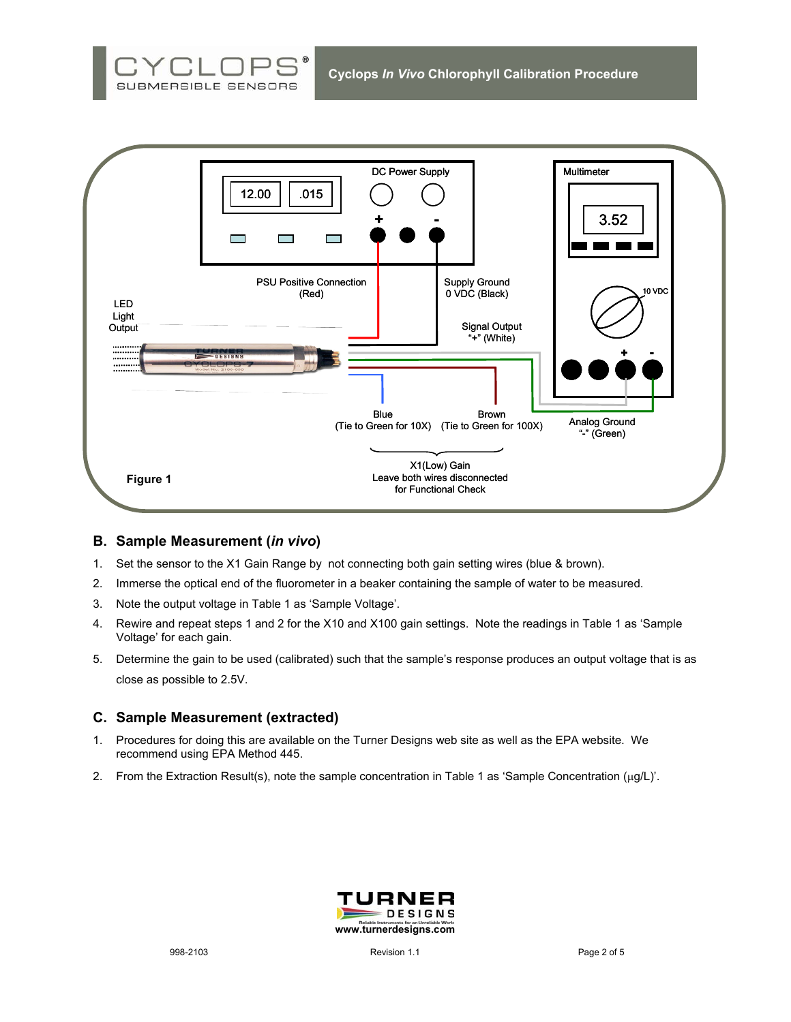



## **B. Sample Measurement (***in vivo***)**

- 1. Set the sensor to the X1 Gain Range by not connecting both gain setting wires (blue & brown).
- 2. Immerse the optical end of the fluorometer in a beaker containing the sample of water to be measured.
- 3. Note the output voltage in Table 1 as 'Sample Voltage'.
- 4. Rewire and repeat steps 1 and 2 for the X10 and X100 gain settings. Note the readings in Table 1 as 'Sample Voltage' for each gain.
- 5. Determine the gain to be used (calibrated) such that the sample's response produces an output voltage that is as close as possible to 2.5V.

## **C. Sample Measurement (extracted)**

- 1. Procedures for doing this are available on the Turner Designs web site as well as the EPA website. We recommend using EPA Method 445.
- 2. From the Extraction Result(s), note the sample concentration in Table 1 as 'Sample Concentration (µg/L)'.

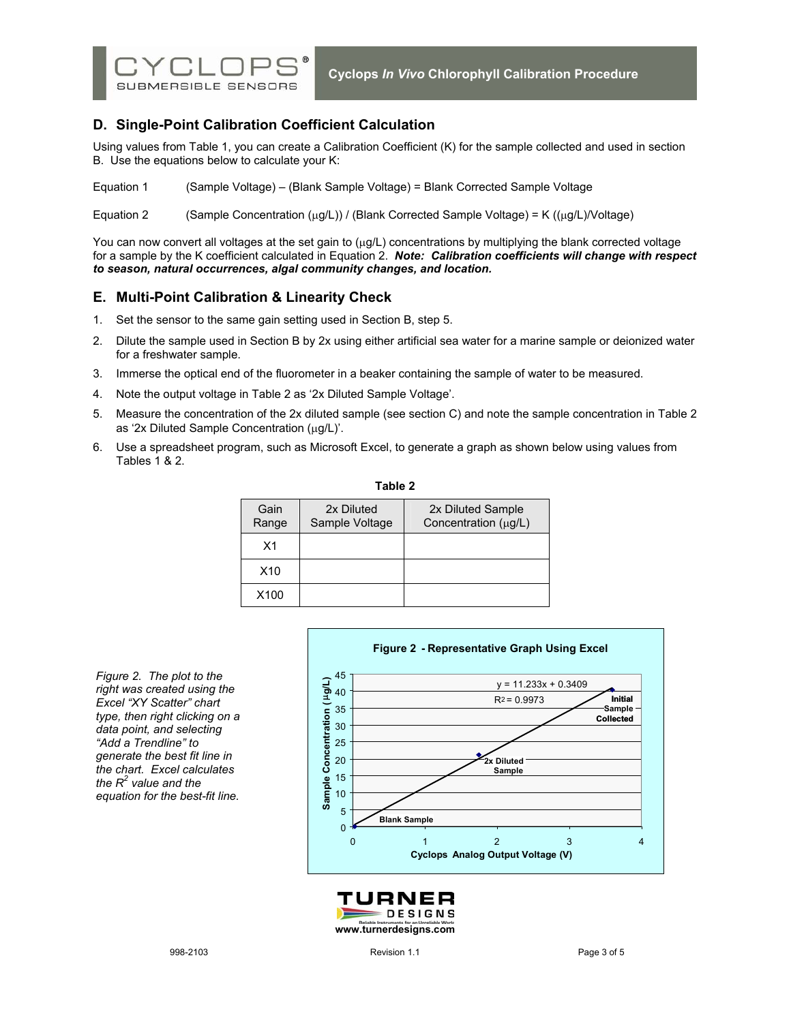

# **D. Single-Point Calibration Coefficient Calculation**

Using values from Table 1, you can create a Calibration Coefficient (K) for the sample collected and used in section B. Use the equations below to calculate your K:

Equation 1 (Sample Voltage) – (Blank Sample Voltage) = Blank Corrected Sample Voltage

Equation 2 (Sample Concentration  $(\mu g/L)$ ) / (Blank Corrected Sample Voltage) = K  $((\mu g/L)/\text{Voltage})$ 

You can now convert all voltages at the set gain to ( $\mu q/L$ ) concentrations by multiplying the blank corrected voltage for a sample by the K coefficient calculated in Equation 2. *Note: Calibration coefficients will change with respect to season, natural occurrences, algal community changes, and location.*

## **E. Multi-Point Calibration & Linearity Check**

- 1. Set the sensor to the same gain setting used in Section B, step 5.
- 2. Dilute the sample used in Section B by 2x using either artificial sea water for a marine sample or deionized water for a freshwater sample.
- 3. Immerse the optical end of the fluorometer in a beaker containing the sample of water to be measured.
- 4. Note the output voltage in Table 2 as '2x Diluted Sample Voltage'.
- 5. Measure the concentration of the 2x diluted sample (see section C) and note the sample concentration in Table 2 as '2x Diluted Sample Concentration  $(\mu g/L)'$ .
- 6. Use a spreadsheet program, such as Microsoft Excel, to generate a graph as shown below using values from Tables 1 & 2.

| Table 2          |                              |                                                |  |  |  |
|------------------|------------------------------|------------------------------------------------|--|--|--|
| Gain<br>Range    | 2x Diluted<br>Sample Voltage | 2x Diluted Sample<br>Concentration $(\mu g/L)$ |  |  |  |
| X1               |                              |                                                |  |  |  |
| X10              |                              |                                                |  |  |  |
| X <sub>100</sub> |                              |                                                |  |  |  |

*Figure 2. The plot to the right was created using the Excel "XY Scatter" chart type, then right clicking on a data point, and selecting "Add a Trendline" to generate the best fit line in the chart. Excel calculates the R2 value and the equation for the best-fit line.* 



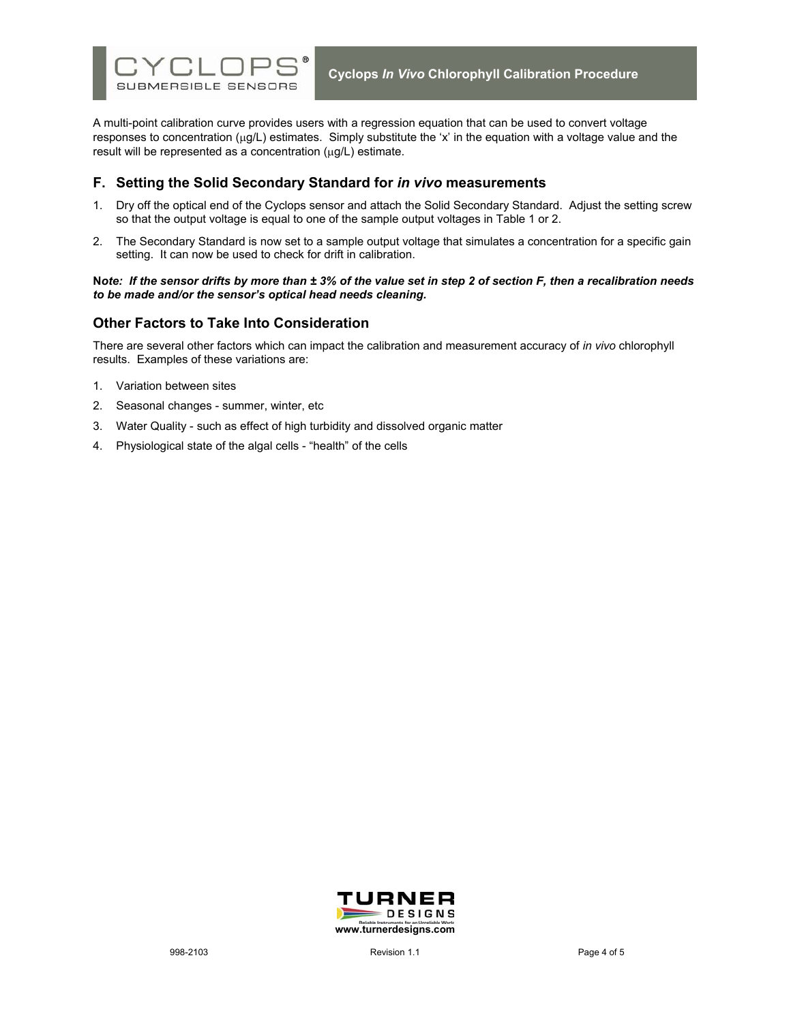

A multi-point calibration curve provides users with a regression equation that can be used to convert voltage responses to concentration ( $\mu q/L$ ) estimates. Simply substitute the 'x' in the equation with a voltage value and the result will be represented as a concentration (µg/L) estimate.

## **F. Setting the Solid Secondary Standard for** *in vivo* **measurements**

- 1. Dry off the optical end of the Cyclops sensor and attach the Solid Secondary Standard. Adjust the setting screw so that the output voltage is equal to one of the sample output voltages in Table 1 or 2.
- 2. The Secondary Standard is now set to a sample output voltage that simulates a concentration for a specific gain setting. It can now be used to check for drift in calibration.

#### **N***ote: If the sensor drifts by more than ± 3% of the value set in step 2 of section F, then a recalibration needs to be made and/or the sensor's optical head needs cleaning.*

## **Other Factors to Take Into Consideration**

There are several other factors which can impact the calibration and measurement accuracy of *in vivo* chlorophyll results. Examples of these variations are:

- 1. Variation between sites
- 2. Seasonal changes summer, winter, etc
- 3. Water Quality such as effect of high turbidity and dissolved organic matter
- 4. Physiological state of the algal cells "health" of the cells